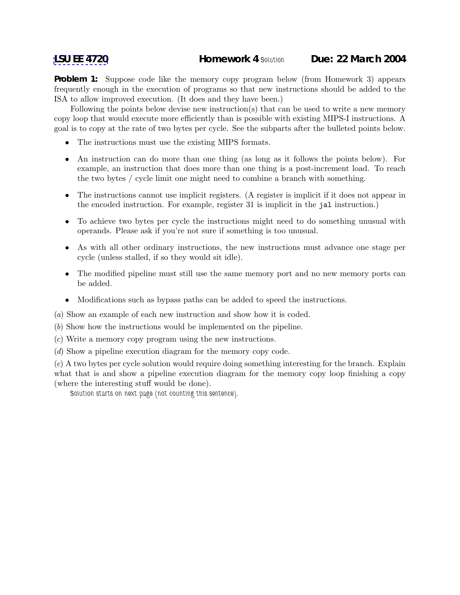**Problem 1:** Suppose code like the memory copy program below (from Homework 3) appears frequently enough in the execution of programs so that new instructions should be added to the ISA to allow improved execution. (It does and they have been.)

Following the points below devise new instruction(s) that can be used to write a new memory copy loop that would execute more efficiently than is possible with existing MIPS-I instructions. A goal is to copy at the rate of two bytes per cycle. See the subparts after the bulleted points below.

- The instructions must use the existing MIPS formats.
- An instruction can do more than one thing (as long as it follows the points below). For example, an instruction that does more than one thing is a post-increment load. To reach the two bytes / cycle limit one might need to combine a branch with something.
- The instructions cannot use implicit registers. (A register is implicit if it does not appear in the encoded instruction. For example, register 31 is implicit in the jal instruction.)
- To achieve two bytes per cycle the instructions might need to do something unusual with operands. Please ask if you're not sure if something is too unusual.
- As with all other ordinary instructions, the new instructions must advance one stage per cycle (unless stalled, if so they would sit idle).
- The modified pipeline must still use the same memory port and no new memory ports can be added.
- Modifications such as bypass paths can be added to speed the instructions.

(a) Show an example of each new instruction and show how it is coded.

(b) Show how the instructions would be implemented on the pipeline.

- (c) Write a memory copy program using the new instructions.
- (d) Show a pipeline execution diagram for the memory copy code.

(e) A two bytes per cycle solution would require doing something interesting for the branch. Explain what that is and show a pipeline execution diagram for the memory copy loop finishing a copy (where the interesting stuff would be done).

*Solution starts on next page (not counting this sentence).*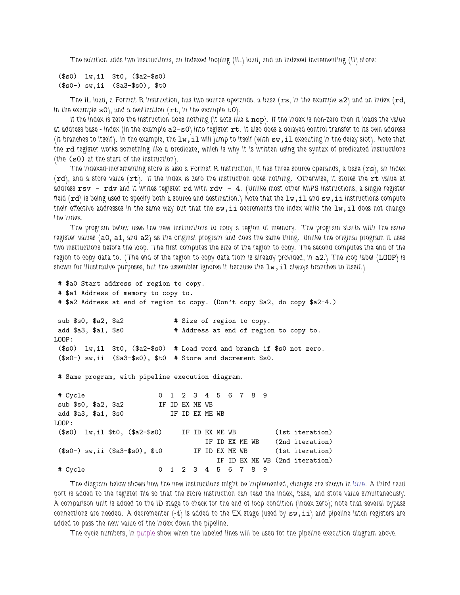*The solution adds two instructions, an indexed-looping (IL) load, and an indexed-incrementing (II) store:*

```
($s0) lw,il $t0, ($a2-$s0)
($s0-) sw,ii ($a3-$s0), $t0
```
*The IL load, a Format R instruction, has two source operands, a base (*rs*, in the example* a2*) and an index (*rd*, in the example* s0*), and a destination (*rt*, in the example* t0*).*

*If the index is zero the instruction does nothing (it acts like a* nop*). If the index is non-zero then it loads the value at address base - index (in the example* a2-s0*) into register* rt*. It also does a delayed control transfer to its own address (it branches to itself). In the example, the* lw,il *will jump to itself (with* sw,il *executing in the delay slot). Note that the* rd *register works something like a predicate, which is why it is written using the syntax of predicated instructions (the* (s0) *at the start of the instruction).*

*The indexed-incrementing store is also a Format R instruction, it has three source operands, a base (*rs*), an index (*rd*), and a store value (*rt*). If the index is zero the instruction does nothing. Otherwise, it stores the* rt *value at address* rsv - rdv *and it writes register* rd *with* rdv - 4*. (Unlike most other MIPS instructions, a single register field (*rd*) is being used to specify both a source and destination.) Note that the* lw,il *and* sw,ii *instructions compute their effective addresses in the same way but that the* sw,ii *decrements the index while the* lw,il *does not change the index.*

*The program below uses the new instructions to copy a region of memory. The program starts with the same register values (*a0*,* a1*, and* a2*) as the original program and does the same thing. Unlike the original program it uses two instructions before the loop. The first computes the size of the region to copy. The second computes the end of the region to copy data to. (The end of the region to copy data from is already provided, in* a2*.) The loop label (*LOOP*) is* shown for illustrative purposes, but the assembler ignores it because the  $1w$ , il always branches to itself.)

```
# $a0 Start address of region to copy.
# $a1 Address of memory to copy to.
# $a2 Address at end of region to copy. (Don't copy $a2, do copy $a2-4.)
 sub $s0, $a2, $a2 # Size of region to copy.
 add $a3, $a1, $s0 # Address at end of region to copy to.
LOOP:
 ($s0) lw,il $t0, ($a2-$s0) # Load word and branch if $s0 not zero.
($s0-) sw,ii ($a3-$s0), $t0 # Store and decrement $s0.
# Same program, with pipeline execution diagram.
# Cycle 0123456789
sub $s0, $a2, $a2 IF ID EX ME WB
add $a3, $a1, $s0 IF ID EX ME WB
LOOP:
($s0) lw,il $t0, ($a2-$s0) IF ID EX ME WB (1st iteration)
                               IF ID EX ME WB (2nd iteration)
($s0-) sw,ii ($a3-$s0), $t0 IF ID EX ME WB (1st iteration)
                                    IF ID EX ME WB (2nd iteration)
```
# Cycle 0123456789

*The diagram below shows how the new instructions might be implemented, changes are shown in blue. A third read port is added to the register file so that the store instruction can read the index, base, and store value simultaneously. A comparison unit is added to the ID stage to check for the end of loop condition (index zero); note that several bypass connections are needed. A decrementer (-4) is added to the EX stage (used by* sw,ii*) and pipeline latch registers are added to pass the new value of the index down the pipeline.*

*The cycle numbers, in purple show when the labeled lines will be used for the pipeline execution diagram above.*